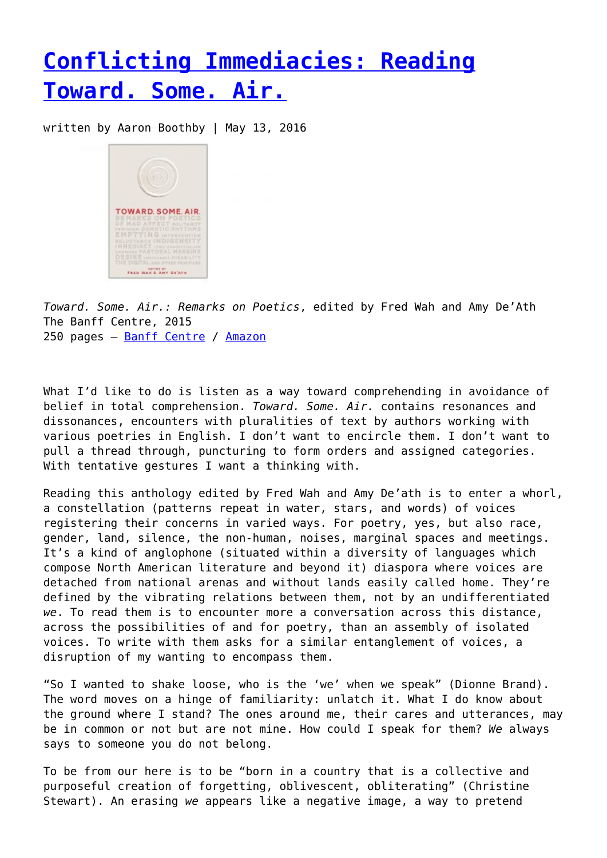## **[Conflicting Immediacies: Reading](https://entropymag.org/conflicting-immediacies-reading-toward-some-air/) [Toward. Some. Air.](https://entropymag.org/conflicting-immediacies-reading-toward-some-air/)**

written by Aaron Boothby | May 13, 2016



*Toward. Some. Air.: Remarks on Poetics*, edited by Fred Wah and Amy De'Ath The Banff Centre, 2015 250 pages – [Banff Centre](https://www.banffcentre.ca/node/4712) / [Amazon](http://www.amazon.com/Toward-Some-Air-Remarks-Poetics/dp/1894773802/ref=sr_1_1?ie=UTF8&qid=1462929453&sr=8-1&keywords=toward+some+air)

What I'd like to do is listen as a way toward comprehending in avoidance of belief in total comprehension. *Toward. Some. Air.* contains resonances and dissonances, encounters with pluralities of text by authors working with various poetries in English. I don't want to encircle them. I don't want to pull a thread through, puncturing to form orders and assigned categories. With tentative gestures I want a thinking with.

Reading this anthology edited by Fred Wah and Amy De'ath is to enter a whorl, a constellation (patterns repeat in water, stars, and words) of voices registering their concerns in varied ways. For poetry, yes, but also race, gender, land, silence, the non-human, noises, marginal spaces and meetings. It's a kind of anglophone (situated within a diversity of languages which compose North American literature and beyond it) diaspora where voices are detached from national arenas and without lands easily called home. They're defined by the vibrating relations between them, not by an undifferentiated *we*. To read them is to encounter more a conversation across this distance, across the possibilities of and for poetry, than an assembly of isolated voices. To write with them asks for a similar entanglement of voices, a disruption of my wanting to encompass them.

"So I wanted to shake loose, who is the 'we' when we speak" (Dionne Brand). The word moves on a hinge of familiarity: unlatch it. What I do know about the ground where I stand? The ones around me, their cares and utterances, may be in common or not but are not mine. How could I speak for them? *We* always says to someone you do not belong.

To be from our here is to be "born in a country that is a collective and purposeful creation of forgetting, oblivescent, obliterating" (Christine Stewart). An erasing *we* appears like a negative image, a way to pretend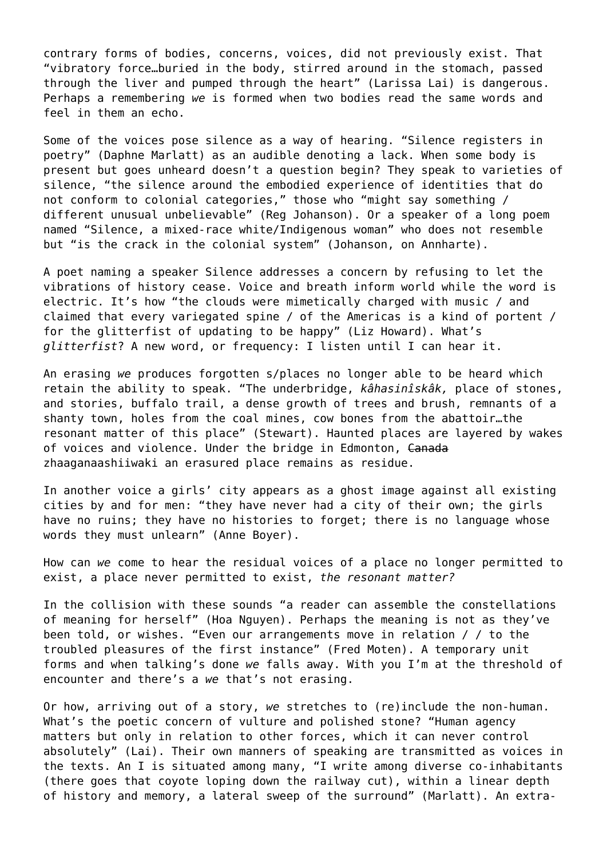contrary forms of bodies, concerns, voices, did not previously exist. That "vibratory force…buried in the body, stirred around in the stomach, passed through the liver and pumped through the heart" (Larissa Lai) is dangerous. Perhaps a remembering *we* is formed when two bodies read the same words and feel in them an echo.

Some of the voices pose silence as a way of hearing. "Silence registers in poetry" (Daphne Marlatt) as an audible denoting a lack. When some body is present but goes unheard doesn't a question begin? They speak to varieties of silence, "the silence around the embodied experience of identities that do not conform to colonial categories," those who "might say something / different unusual unbelievable" (Reg Johanson). Or a speaker of a long poem named "Silence, a mixed-race white/Indigenous woman" who does not resemble but "is the crack in the colonial system" (Johanson, on Annharte).

A poet naming a speaker Silence addresses a concern by refusing to let the vibrations of history cease. Voice and breath inform world while the word is electric. It's how "the clouds were mimetically charged with music / and claimed that every variegated spine / of the Americas is a kind of portent / for the glitterfist of updating to be happy" (Liz Howard). What's *glitterfist*? A new word, or frequency: I listen until I can hear it.

An erasing *we* produces forgotten s/places no longer able to be heard which retain the ability to speak. "The underbridge, *kâhasinîskâk,* place of stones, and stories, buffalo trail, a dense growth of trees and brush, remnants of a shanty town, holes from the coal mines, cow bones from the abattoir…the resonant matter of this place" (Stewart). Haunted places are layered by wakes of voices and violence. Under the bridge in Edmonton, Canada zhaaganaashiiwaki an erasured place remains as residue.

In another voice a girls' city appears as a ghost image against all existing cities by and for men: "they have never had a city of their own; the girls have no ruins; they have no histories to forget; there is no language whose words they must unlearn" (Anne Boyer).

How can *we* come to hear the residual voices of a place no longer permitted to exist, a place never permitted to exist, *the resonant matter?*

In the collision with these sounds "a reader can assemble the constellations of meaning for herself" (Hoa Nguyen). Perhaps the meaning is not as they've been told, or wishes. "Even our arrangements move in relation / / to the troubled pleasures of the first instance" (Fred Moten). A temporary unit forms and when talking's done *we* falls away. With you I'm at the threshold of encounter and there's a *we* that's not erasing.

Or how, arriving out of a story, *we* stretches to (re)include the non-human. What's the poetic concern of vulture and polished stone? "Human agency matters but only in relation to other forces, which it can never control absolutely" (Lai). Their own manners of speaking are transmitted as voices in the texts. An I is situated among many, "I write among diverse co-inhabitants (there goes that coyote loping down the railway cut), within a linear depth of history and memory, a lateral sweep of the surround" (Marlatt). An extra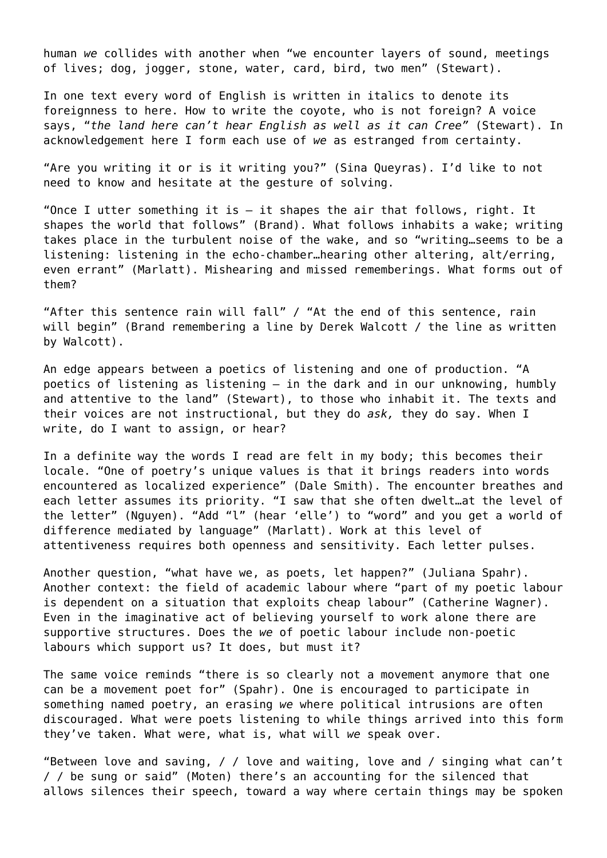human *we* collides with another when "we encounter layers of sound, meetings of lives; dog, jogger, stone, water, card, bird, two men" (Stewart).

In one text every word of English is written in italics to denote its foreignness to here. How to write the coyote, who is not foreign? A voice says, "*the land here can't hear English as well as it can Cree"* (Stewart). In acknowledgement here I form each use of *we* as estranged from certainty.

"Are you writing it or is it writing you?" (Sina Queyras). I'd like to not need to know and hesitate at the gesture of solving.

"Once I utter something it is  $-$  it shapes the air that follows, right. It shapes the world that follows" (Brand). What follows inhabits a wake; writing takes place in the turbulent noise of the wake, and so "writing…seems to be a listening: listening in the echo-chamber…hearing other altering, alt/erring, even errant" (Marlatt). Mishearing and missed rememberings. What forms out of them?

"After this sentence rain will fall" / "At the end of this sentence, rain will begin" (Brand remembering a line by Derek Walcott / the line as written by Walcott).

An edge appears between a poetics of listening and one of production. "A poetics of listening as listening – in the dark and in our unknowing, humbly and attentive to the land" (Stewart), to those who inhabit it. The texts and their voices are not instructional, but they do *ask,* they do say. When I write, do I want to assign, or hear?

In a definite way the words I read are felt in my body; this becomes their locale. "One of poetry's unique values is that it brings readers into words encountered as localized experience" (Dale Smith). The encounter breathes and each letter assumes its priority. "I saw that she often dwelt…at the level of the letter" (Nguyen). "Add "l" (hear 'elle') to "word" and you get a world of difference mediated by language" (Marlatt). Work at this level of attentiveness requires both openness and sensitivity. Each letter pulses.

Another question, "what have we, as poets, let happen?" (Juliana Spahr). Another context: the field of academic labour where "part of my poetic labour is dependent on a situation that exploits cheap labour" (Catherine Wagner). Even in the imaginative act of believing yourself to work alone there are supportive structures. Does the *we* of poetic labour include non-poetic labours which support us? It does, but must it?

The same voice reminds "there is so clearly not a movement anymore that one can be a movement poet for" (Spahr). One is encouraged to participate in something named poetry, an erasing *we* where political intrusions are often discouraged. What were poets listening to while things arrived into this form they've taken. What were, what is, what will *we* speak over.

"Between love and saving, / / love and waiting, love and / singing what can't / / be sung or said" (Moten) there's an accounting for the silenced that allows silences their speech, toward a way where certain things may be spoken